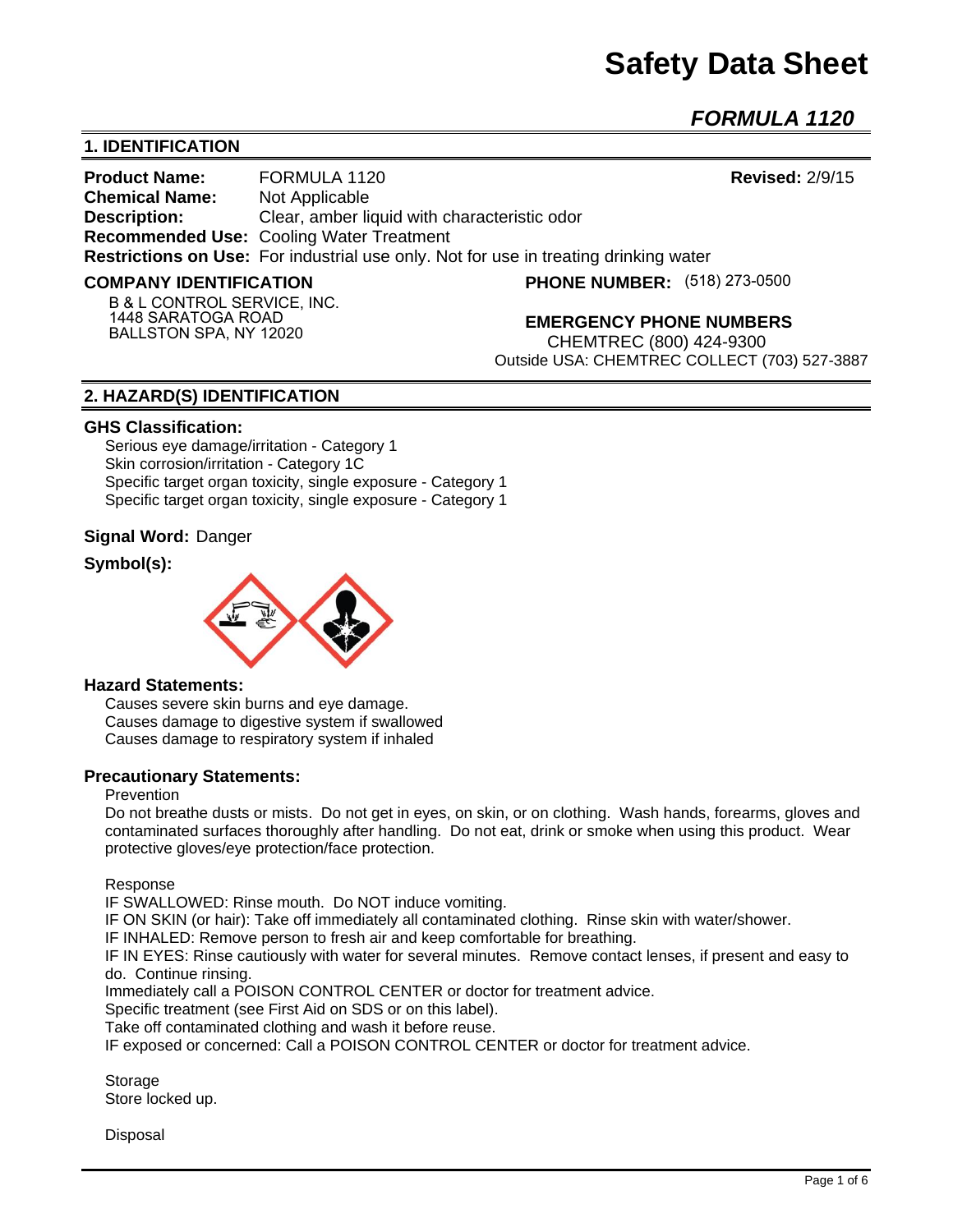# **Safety Data Sheet**

*FORMULA 1120* 

# **1. IDENTIFICATION**

**Product Name:** FORMULA 1120 **Revised:** 2/9/15 **Chemical Name:** Not Applicable **Description:** Clear, amber liquid with characteristic odor **Recommended Use:** Cooling Water Treatment **Restrictions on Use:** For industrial use only. Not for use in treating drinking water

#### **COMPANY IDENTIFICATION**

**PHONE NUMBER:** (518) 273-0500

**B & L CONTROL SERVICE, INC. 1448 SARATOGA ROAD BALLSTON SPA, NY 12020**

**EMERGENCY PHONE NUMBERS**

CHEMTREC (800) 424-9300 Outside USA: CHEMTREC COLLECT (703) 527-3887

## **2. HAZARD(S) IDENTIFICATION**

#### **GHS Classification:**

Serious eye damage/irritation - Category 1 Skin corrosion/irritation - Category 1C Specific target organ toxicity, single exposure - Category 1 Specific target organ toxicity, single exposure - Category 1

#### **Signal Word:** Danger

# **Symbol(s):**



#### **Hazard Statements:**

Causes severe skin burns and eye damage. Causes damage to digestive system if swallowed Causes damage to respiratory system if inhaled

#### **Precautionary Statements:**

## Prevention

Do not breathe dusts or mists. Do not get in eyes, on skin, or on clothing. Wash hands, forearms, gloves and contaminated surfaces thoroughly after handling. Do not eat, drink or smoke when using this product. Wear protective gloves/eye protection/face protection.

Response

IF SWALLOWED: Rinse mouth. Do NOT induce vomiting.

IF ON SKIN (or hair): Take off immediately all contaminated clothing. Rinse skin with water/shower.

IF INHALED: Remove person to fresh air and keep comfortable for breathing.

IF IN EYES: Rinse cautiously with water for several minutes. Remove contact lenses, if present and easy to do. Continue rinsing.

Immediately call a POISON CONTROL CENTER or doctor for treatment advice.

Specific treatment (see First Aid on SDS or on this label).

Take off contaminated clothing and wash it before reuse.

IF exposed or concerned: Call a POISON CONTROL CENTER or doctor for treatment advice.

Storage Store locked up.

**Disposal**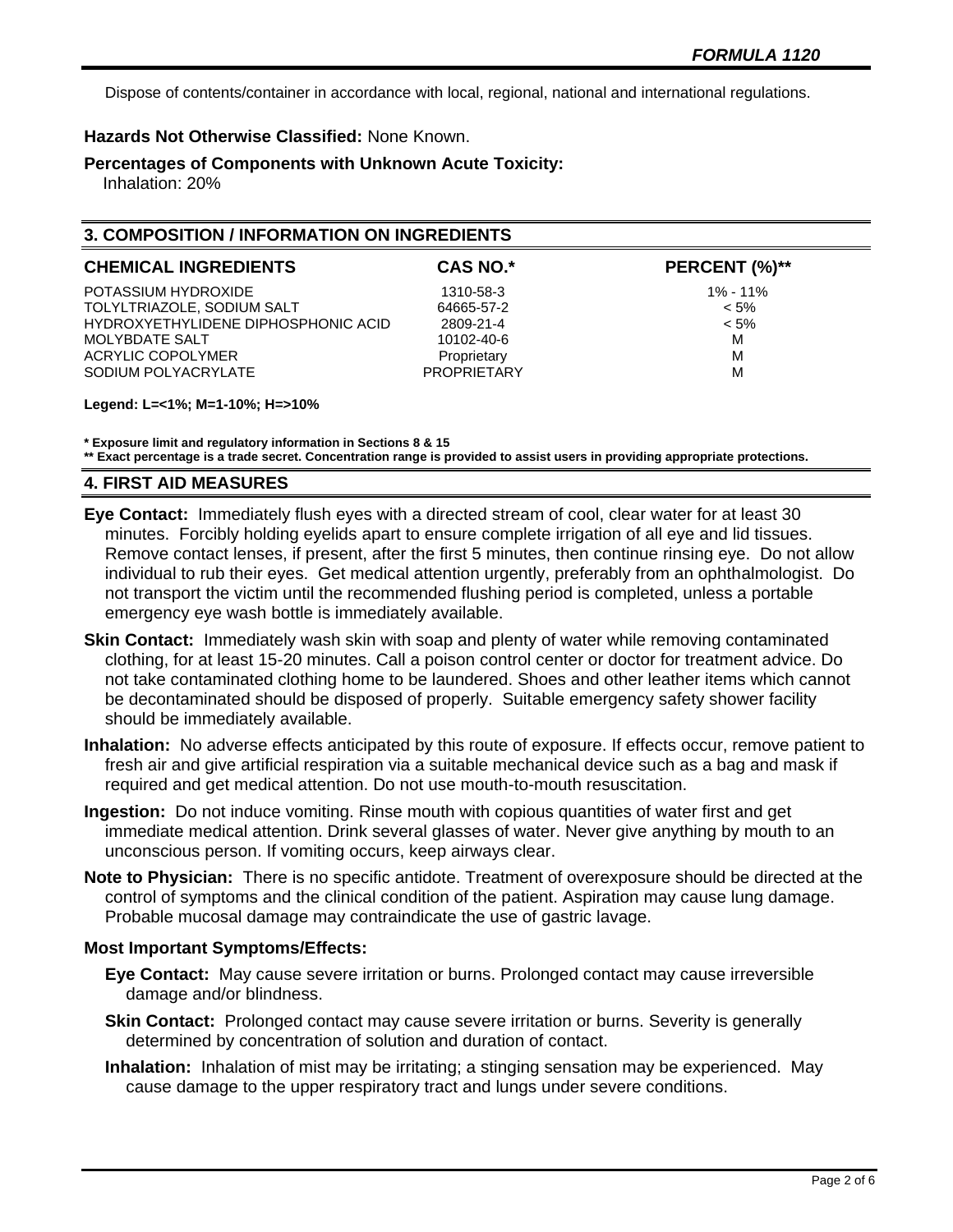Dispose of contents/container in accordance with local, regional, national and international regulations.

# **Hazards Not Otherwise Classified:** None Known.

**Percentages of Components with Unknown Acute Toxicity:** 

Inhalation: 20%

# **3. COMPOSITION / INFORMATION ON INGREDIENTS**

| <b>CHEMICAL INGREDIENTS</b>         | CAS NO.*           | PERCENT (%)** |
|-------------------------------------|--------------------|---------------|
| POTASSIUM HYDROXIDE                 | 1310-58-3          | $1\% - 11\%$  |
| TOLYLTRIAZOLE, SODIUM SALT          | 64665-57-2         | $< 5\%$       |
| HYDROXYETHYLIDENE DIPHOSPHONIC ACID | 2809-21-4          | $< 5\%$       |
| MOLYBDATE SALT                      | 10102-40-6         | M             |
| ACRYLIC COPOLYMER                   | Proprietary        | M             |
| SODIUM POLYACRYLATE                 | <b>PROPRIFTARY</b> | M             |
|                                     |                    |               |

**Legend: L=<1%; M=1-10%; H=>10%**

**\* Exposure limit and regulatory information in Sections 8 & 15**

**\*\* Exact percentage is a trade secret. Concentration range is provided to assist users in providing appropriate protections.**

# **4. FIRST AID MEASURES**

- **Eye Contact:** Immediately flush eyes with a directed stream of cool, clear water for at least 30 minutes. Forcibly holding eyelids apart to ensure complete irrigation of all eye and lid tissues. Remove contact lenses, if present, after the first 5 minutes, then continue rinsing eye. Do not allow individual to rub their eyes. Get medical attention urgently, preferably from an ophthalmologist. Do not transport the victim until the recommended flushing period is completed, unless a portable emergency eye wash bottle is immediately available.
- **Skin Contact:** Immediately wash skin with soap and plenty of water while removing contaminated clothing, for at least 15-20 minutes. Call a poison control center or doctor for treatment advice. Do not take contaminated clothing home to be laundered. Shoes and other leather items which cannot be decontaminated should be disposed of properly. Suitable emergency safety shower facility should be immediately available.
- **Inhalation:** No adverse effects anticipated by this route of exposure. If effects occur, remove patient to fresh air and give artificial respiration via a suitable mechanical device such as a bag and mask if required and get medical attention. Do not use mouth-to-mouth resuscitation.
- **Ingestion:** Do not induce vomiting. Rinse mouth with copious quantities of water first and get immediate medical attention. Drink several glasses of water. Never give anything by mouth to an unconscious person. If vomiting occurs, keep airways clear.
- **Note to Physician:** There is no specific antidote. Treatment of overexposure should be directed at the control of symptoms and the clinical condition of the patient. Aspiration may cause lung damage. Probable mucosal damage may contraindicate the use of gastric lavage.

## **Most Important Symptoms/Effects:**

- **Eye Contact:** May cause severe irritation or burns. Prolonged contact may cause irreversible damage and/or blindness.
- **Skin Contact:** Prolonged contact may cause severe irritation or burns. Severity is generally determined by concentration of solution and duration of contact.
- **Inhalation:** Inhalation of mist may be irritating; a stinging sensation may be experienced. May cause damage to the upper respiratory tract and lungs under severe conditions.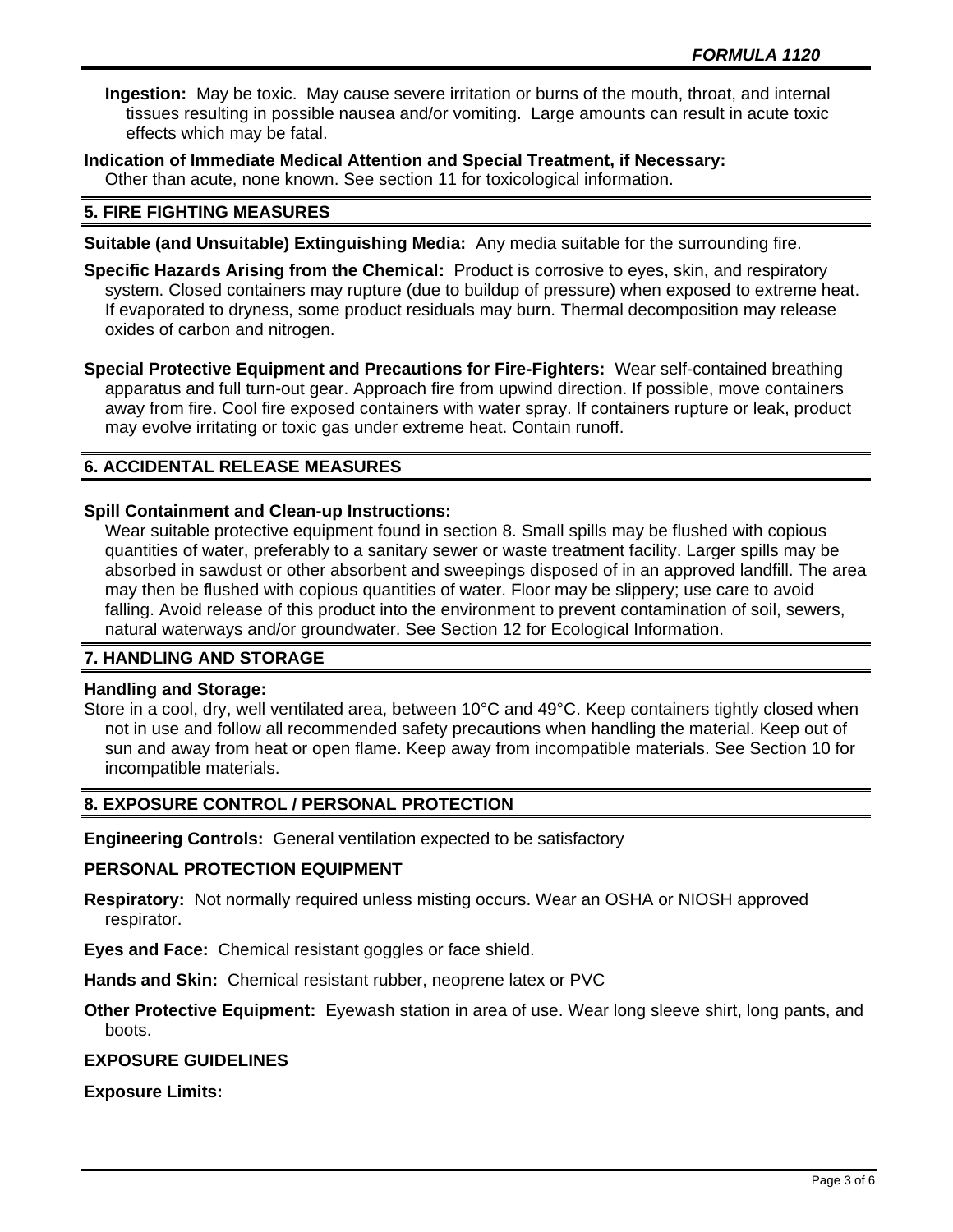**Ingestion:** May be toxic. May cause severe irritation or burns of the mouth, throat, and internal tissues resulting in possible nausea and/or vomiting. Large amounts can result in acute toxic effects which may be fatal.

**Indication of Immediate Medical Attention and Special Treatment, if Necessary:** Other than acute, none known. See section 11 for toxicological information.

# **5. FIRE FIGHTING MEASURES**

- **Suitable (and Unsuitable) Extinguishing Media:** Any media suitable for the surrounding fire.
- **Specific Hazards Arising from the Chemical:** Product is corrosive to eyes, skin, and respiratory system. Closed containers may rupture (due to buildup of pressure) when exposed to extreme heat. If evaporated to dryness, some product residuals may burn. Thermal decomposition may release oxides of carbon and nitrogen.

**Special Protective Equipment and Precautions for Fire-Fighters:** Wear self-contained breathing apparatus and full turn-out gear. Approach fire from upwind direction. If possible, move containers away from fire. Cool fire exposed containers with water spray. If containers rupture or leak, product may evolve irritating or toxic gas under extreme heat. Contain runoff.

# **6. ACCIDENTAL RELEASE MEASURES**

# **Spill Containment and Clean-up Instructions:**

Wear suitable protective equipment found in section 8. Small spills may be flushed with copious quantities of water, preferably to a sanitary sewer or waste treatment facility. Larger spills may be absorbed in sawdust or other absorbent and sweepings disposed of in an approved landfill. The area may then be flushed with copious quantities of water. Floor may be slippery; use care to avoid falling. Avoid release of this product into the environment to prevent contamination of soil, sewers, natural waterways and/or groundwater. See Section 12 for Ecological Information.

# **7. HANDLING AND STORAGE**

## **Handling and Storage:**

Store in a cool, dry, well ventilated area, between 10°C and 49°C. Keep containers tightly closed when not in use and follow all recommended safety precautions when handling the material. Keep out of sun and away from heat or open flame. Keep away from incompatible materials. See Section 10 for incompatible materials.

# **8. EXPOSURE CONTROL / PERSONAL PROTECTION**

**Engineering Controls:** General ventilation expected to be satisfactory

# **PERSONAL PROTECTION EQUIPMENT**

**Respiratory:** Not normally required unless misting occurs. Wear an OSHA or NIOSH approved respirator.

**Eyes and Face:** Chemical resistant goggles or face shield.

**Hands and Skin:** Chemical resistant rubber, neoprene latex or PVC

**Other Protective Equipment:** Eyewash station in area of use. Wear long sleeve shirt, long pants, and boots.

# **EXPOSURE GUIDELINES**

## **Exposure Limits:**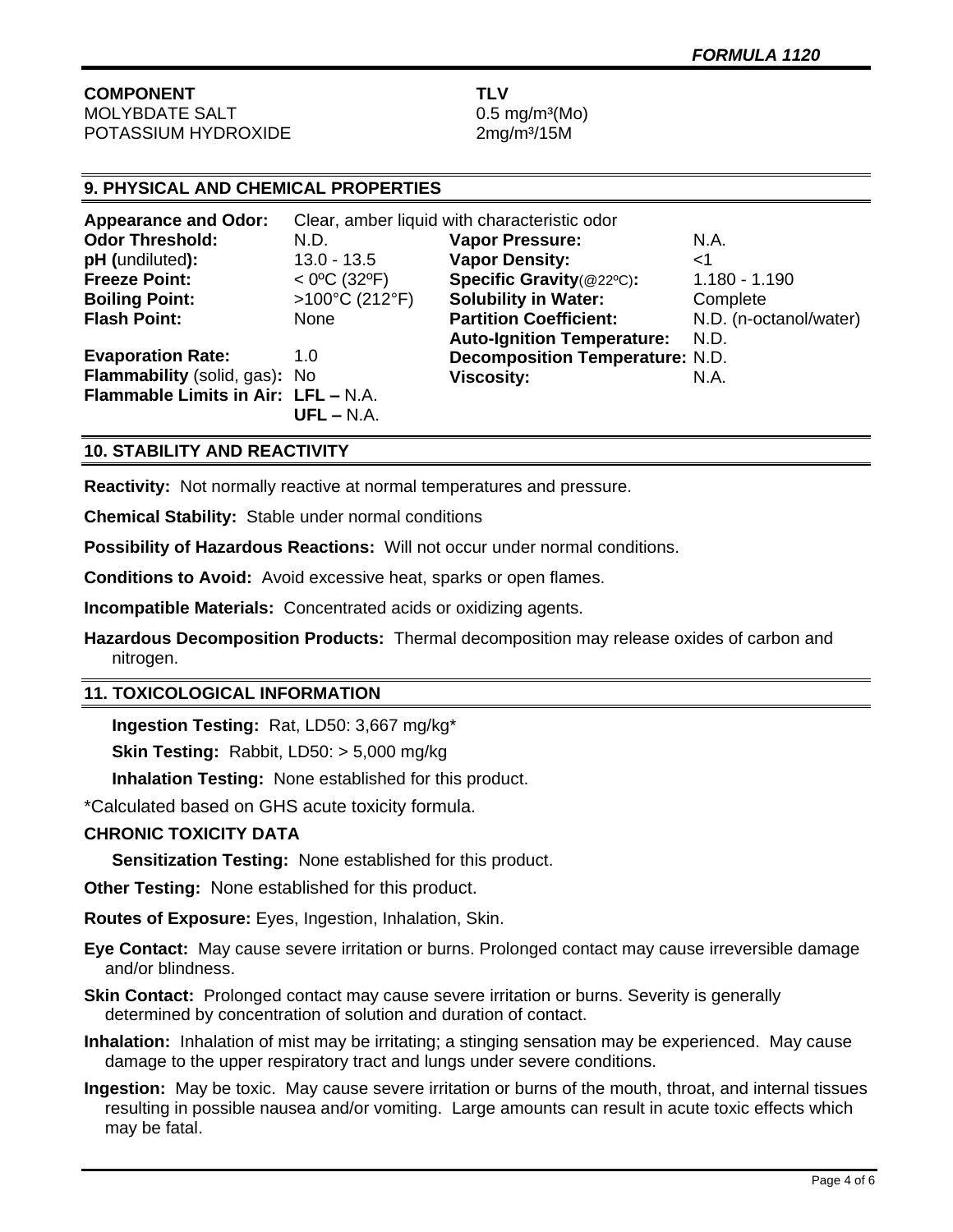**COMPONENT TLV** MOLYBDATE SALT 0.5 mg/m<sup>3</sup>(Mo) POTASSIUM HYDROXIDE 2mg/m<sup>3</sup>/15M

# **9. PHYSICAL AND CHEMICAL PROPERTIES**

| <b>Appearance and Odor:</b>         | Clear, amber liquid with characteristic odor |                                        |                        |
|-------------------------------------|----------------------------------------------|----------------------------------------|------------------------|
| <b>Odor Threshold:</b>              | N.D.                                         | <b>Vapor Pressure:</b>                 | N.A.                   |
| pH (undiluted):                     | $13.0 - 13.5$                                | <b>Vapor Density:</b>                  | ا>                     |
| <b>Freeze Point:</b>                | $<$ 0°C (32°F)                               | Specific Gravity(@22°C):               | $1.180 - 1.190$        |
| <b>Boiling Point:</b>               | >100°C (212°F)                               | <b>Solubility in Water:</b>            | Complete               |
| <b>Flash Point:</b>                 | None                                         | <b>Partition Coefficient:</b>          | N.D. (n-octanol/water) |
|                                     |                                              | <b>Auto-Ignition Temperature:</b>      | N.D.                   |
| <b>Evaporation Rate:</b>            | 1.0                                          | <b>Decomposition Temperature: N.D.</b> |                        |
| Flammability (solid, gas): No       |                                              | <b>Viscosity:</b>                      | N.A.                   |
| Flammable Limits in Air: LFL - N.A. |                                              |                                        |                        |
|                                     | $UFL - N.A.$                                 |                                        |                        |

# **10. STABILITY AND REACTIVITY**

**Reactivity:** Not normally reactive at normal temperatures and pressure.

**Chemical Stability:** Stable under normal conditions

**Possibility of Hazardous Reactions:** Will not occur under normal conditions.

**Conditions to Avoid:** Avoid excessive heat, sparks or open flames.

**Incompatible Materials:** Concentrated acids or oxidizing agents.

**Hazardous Decomposition Products:** Thermal decomposition may release oxides of carbon and nitrogen.

# **11. TOXICOLOGICAL INFORMATION**

**Ingestion Testing:** Rat, LD50: 3,667 mg/kg\*

**Skin Testing:** Rabbit, LD50: > 5,000 mg/kg

**Inhalation Testing:** None established for this product.

\*Calculated based on GHS acute toxicity formula.

# **CHRONIC TOXICITY DATA**

**Sensitization Testing:** None established for this product.

**Other Testing:** None established for this product.

**Routes of Exposure:** Eyes, Ingestion, Inhalation, Skin.

**Eye Contact:** May cause severe irritation or burns. Prolonged contact may cause irreversible damage and/or blindness.

**Skin Contact:** Prolonged contact may cause severe irritation or burns. Severity is generally determined by concentration of solution and duration of contact.

**Inhalation:** Inhalation of mist may be irritating; a stinging sensation may be experienced. May cause damage to the upper respiratory tract and lungs under severe conditions.

**Ingestion:** May be toxic. May cause severe irritation or burns of the mouth, throat, and internal tissues resulting in possible nausea and/or vomiting. Large amounts can result in acute toxic effects which may be fatal.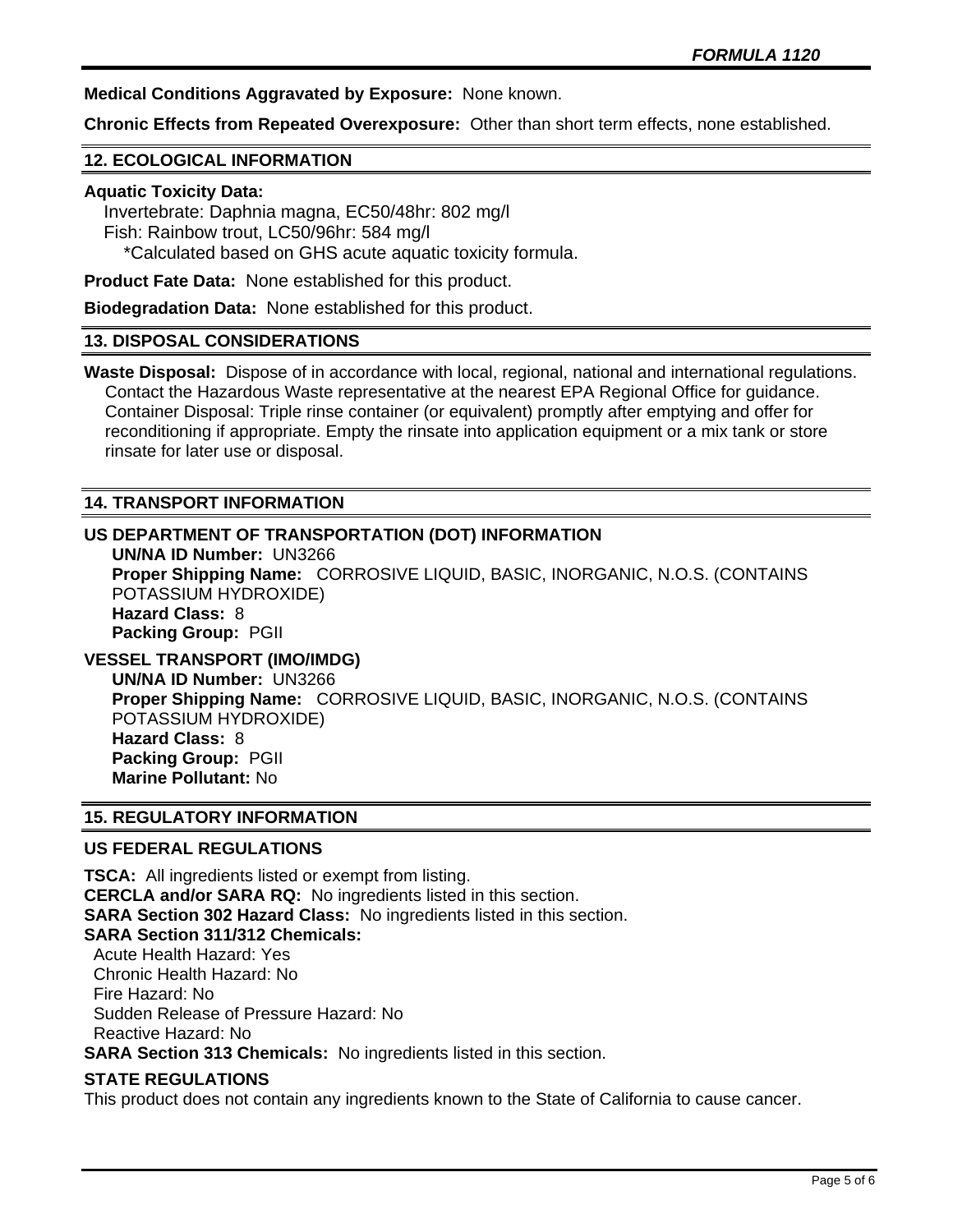**Medical Conditions Aggravated by Exposure:** None known.

**Chronic Effects from Repeated Overexposure:** Other than short term effects, none established.

# **12. ECOLOGICAL INFORMATION**

#### **Aquatic Toxicity Data:**

 Invertebrate: Daphnia magna, EC50/48hr: 802 mg/l Fish: Rainbow trout, LC50/96hr: 584 mg/l \*Calculated based on GHS acute aquatic toxicity formula.

**Product Fate Data:** None established for this product.

**Biodegradation Data:** None established for this product.

#### **13. DISPOSAL CONSIDERATIONS**

**Waste Disposal:** Dispose of in accordance with local, regional, national and international regulations. Contact the Hazardous Waste representative at the nearest EPA Regional Office for guidance. Container Disposal: Triple rinse container (or equivalent) promptly after emptying and offer for reconditioning if appropriate. Empty the rinsate into application equipment or a mix tank or store rinsate for later use or disposal.

## **14. TRANSPORT INFORMATION**

# **US DEPARTMENT OF TRANSPORTATION (DOT) INFORMATION**

**UN/NA ID Number:** UN3266 **Proper Shipping Name:** CORROSIVE LIQUID, BASIC, INORGANIC, N.O.S. (CONTAINS POTASSIUM HYDROXIDE) **Hazard Class:** 8 **Packing Group:** PGII

# **VESSEL TRANSPORT (IMO/IMDG)**

**UN/NA ID Number:** UN3266 **Proper Shipping Name:** CORROSIVE LIQUID, BASIC, INORGANIC, N.O.S. (CONTAINS POTASSIUM HYDROXIDE) **Hazard Class:** 8 **Packing Group:** PGII **Marine Pollutant:** No

## **15. REGULATORY INFORMATION**

## **US FEDERAL REGULATIONS**

**TSCA:** All ingredients listed or exempt from listing. **CERCLA and/or SARA RQ:** No ingredients listed in this section. **SARA Section 302 Hazard Class:** No ingredients listed in this section. **SARA Section 311/312 Chemicals:**  Acute Health Hazard: Yes Chronic Health Hazard: No Fire Hazard: No Sudden Release of Pressure Hazard: No Reactive Hazard: No **SARA Section 313 Chemicals:** No ingredients listed in this section.

## **STATE REGULATIONS**

This product does not contain any ingredients known to the State of California to cause cancer.